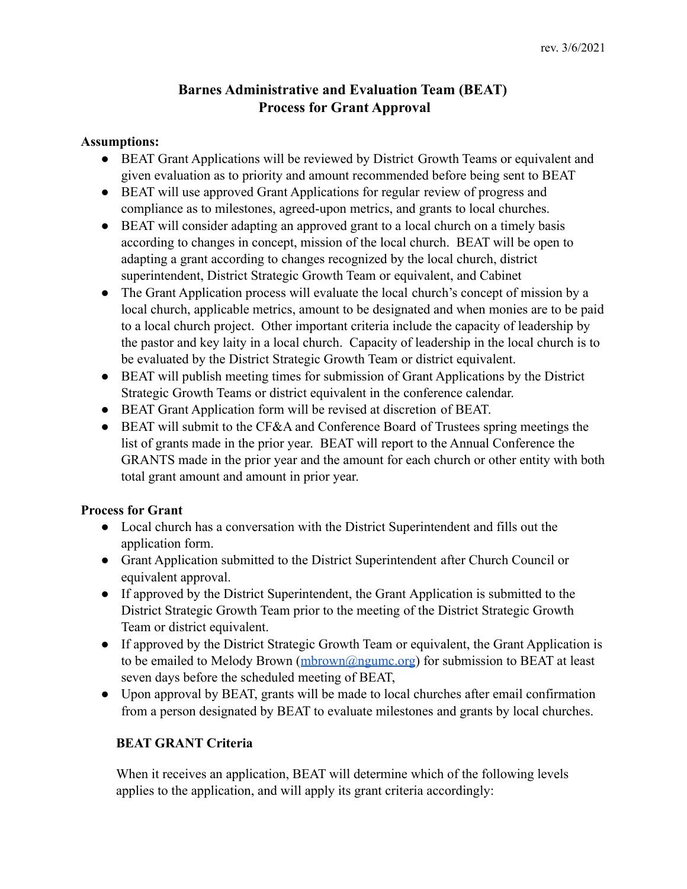# **Barnes Administrative and Evaluation Team (BEAT) Process for Grant Approval**

#### **Assumptions:**

- **●** BEAT Grant Applications will be reviewed by District Growth Teams or equivalent and given evaluation as to priority and amount recommended before being sent to BEAT
- **●** BEAT will use approved Grant Applications for regular review of progress and compliance as to milestones, agreed-upon metrics, and grants to local churches.
- **●** BEAT will consider adapting an approved grant to a local church on a timely basis according to changes in concept, mission of the local church. BEAT will be open to adapting a grant according to changes recognized by the local church, district superintendent, District Strategic Growth Team or equivalent, and Cabinet
- **●** The Grant Application process will evaluate the local church's concept of mission by a local church, applicable metrics, amount to be designated and when monies are to be paid to a local church project. Other important criteria include the capacity of leadership by the pastor and key laity in a local church. Capacity of leadership in the local church is to be evaluated by the District Strategic Growth Team or district equivalent.
- **●** BEAT will publish meeting times for submission of Grant Applications by the District Strategic Growth Teams or district equivalent in the conference calendar.
- **●** BEAT Grant Application form will be revised at discretion of BEAT.
- **●** BEAT will submit to the CF&A and Conference Board of Trustees spring meetings the list of grants made in the prior year. BEAT will report to the Annual Conference the GRANTS made in the prior year and the amount for each church or other entity with both total grant amount and amount in prior year.

## **Process for Grant**

- **●** Local church has a conversation with the District Superintendent and fills out the application form.
- **●** Grant Application submitted to the District Superintendent after Church Council or equivalent approval.
- **●** If approved by the District Superintendent, the Grant Application is submitted to the District Strategic Growth Team prior to the meeting of the District Strategic Growth Team or district equivalent.
- **●** If approved by the District Strategic Growth Team or equivalent, the Grant Application is to be emailed to Melody Brown ([mbrown@ngumc.org](mailto:mbrown@ngumc.org)) for submission to BEAT at least seven days before the scheduled meeting of BEAT,
- **●** Upon approval by BEAT, grants will be made to local churches after email confirmation from a person designated by BEAT to evaluate milestones and grants by local churches.

## **BEAT GRANT Criteria**

When it receives an application, BEAT will determine which of the following levels applies to the application, and will apply its grant criteria accordingly: